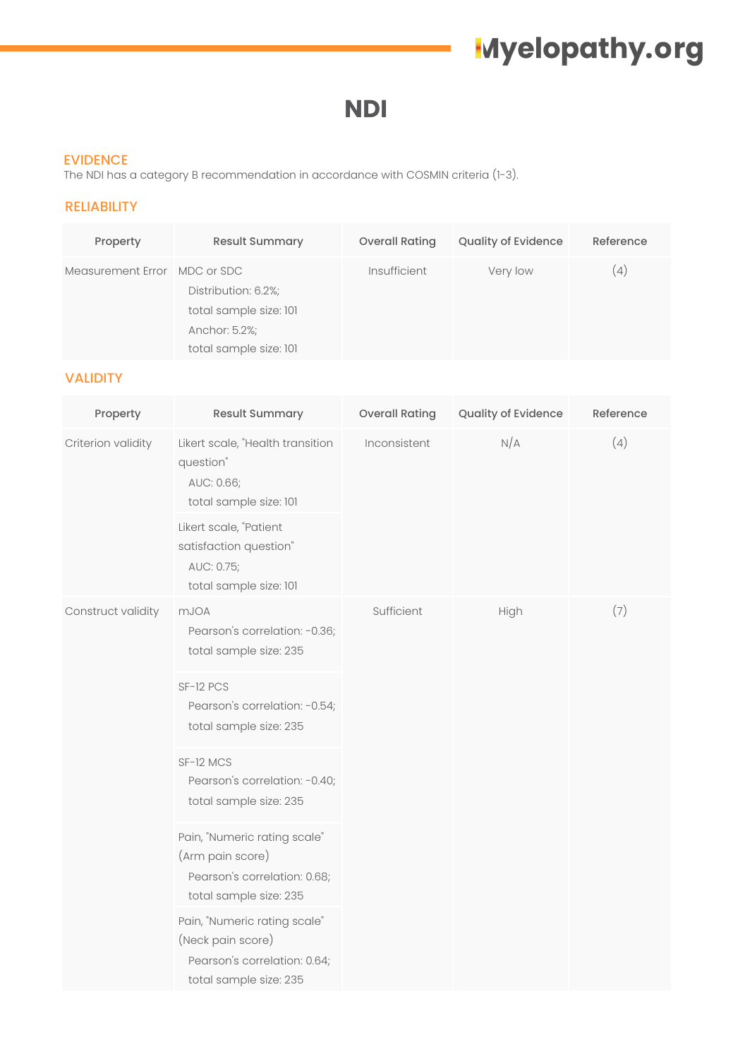## **Myelopathy.org**

### **NDI**

#### EVIDENCE

The NDI has a category B recommendation in accordance with COSMIN criteria (1-3).

#### RELIABILITY

| Property                     | <b>Result Summary</b>                                                                    | <b>Overall Rating</b> | <b>Quality of Evidence</b> | Reference |
|------------------------------|------------------------------------------------------------------------------------------|-----------------------|----------------------------|-----------|
| Measurement Error MDC or SDC | Distribution: 6.2%;<br>total sample size: 101<br>Anchor: 5.2%;<br>total sample size: 101 | Insufficient          | Very low                   | (4)       |

#### VALIDITY

| Property           | <b>Result Summary</b>                                                                                           | <b>Overall Rating</b> | Quality of Evidence | Reference |
|--------------------|-----------------------------------------------------------------------------------------------------------------|-----------------------|---------------------|-----------|
| Criterion validity | Likert scale, "Health transition<br>question"<br>AUC: 0.66;<br>total sample size: 101<br>Likert scale, "Patient | Inconsistent          | N/A                 | (4)       |
|                    | satisfaction question"<br>AUC: 0.75;<br>total sample size: 101                                                  |                       |                     |           |
| Construct validity | <b>mJOA</b><br>Pearson's correlation: -0.36;<br>total sample size: 235                                          | Sufficient            | High                | (7)       |
|                    | SF-12 PCS<br>Pearson's correlation: -0.54;<br>total sample size: 235                                            |                       |                     |           |
|                    | SF-12 MCS<br>Pearson's correlation: -0.40;<br>total sample size: 235                                            |                       |                     |           |
|                    | Pain, "Numeric rating scale"<br>(Arm pain score)<br>Pearson's correlation: 0.68;<br>total sample size: 235      |                       |                     |           |
|                    | Pain, "Numeric rating scale"<br>(Neck pain score)<br>Pearson's correlation: 0.64;<br>total sample size: 235     |                       |                     |           |